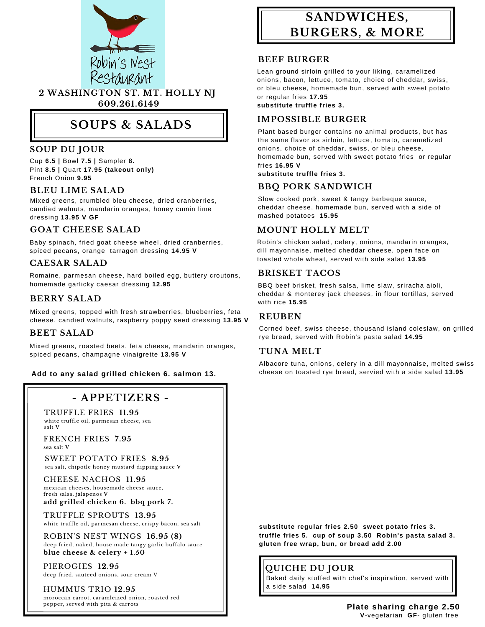

# **SOUPS & SALADS**

### **SOUP DU JOUR**

Cup **6.5 |** Bowl **7.5 |** Sampler **8.** Pint **8.5 |** Quart **17.95 (takeout only)** French Onion **9.95**

#### **BLEU LIME SALAD**

Mixed greens, crumbled bleu cheese, dried cranberries, candied walnuts, mandarin oranges, honey cumin lime dressing **13.95 V GF**

### **GOAT CHEESE SALAD**

Baby spinach, fried goat cheese wheel, dried cranberries, spiced pecans, orange tarragon dressing **14.95 V**

#### **CAESAR SALAD**

Romaine, parmesan cheese, hard boiled egg, buttery croutons, homemade garlicky caesar dressing **12.95**

Mixed greens, topped with fresh strawberries, blueberries, feta cheese, candied walnuts, raspberry poppy seed dressing **13.95 <sup>V</sup> REUBEN**

#### **BEET SALAD**

Mixed greens, roasted beets, feta cheese, mandarin oranges, spiced pecans, champagne vinaigrette **13.95 V**

#### **Add to any salad grilled chicken 6. salmon 13.**

## **- APPETIZERS -**

TRUFFLE FRIES **11.95** white truffle oil, parmesan cheese, sea salt **V**

FRENCH FRIES **7.95** sea salt **V**

SWEET POTATO FRIES **8.95** sea salt, chipotle honey mustard dipping sauce **V**

CHEESE NACHOS **11.95** mexican cheeses, housemade cheese sauce, fresh salsa, jalapenos **V add grilled chicken 6. bbq pork 7.**

TRUFFLE SPROUTS **13.95**

white truffle oil, parmesan cheese, crispy bacon, sea salt

ROBIN'S NEST WINGS **16.95 (8)** deep fried, naked, house made tangy garlic buffalo sauce **blue cheese & celery + 1.50**

PIEROGIES **12.95** deep fried, sauteed onions, sour cream V

HUMMUS TRIO 12.95 **Similar Set 14.95** moroccan carrot, caramleized onion, roasted red pepper, served with pita & carrots

# **SANDWICHES, BURGERS, & MORE**

#### **BEEF BURGER**

Lean ground sirloin grilled to your liking, caramelized onions, bacon, lettuce, tomato, choice of cheddar, swiss, or bleu cheese, homemade bun, served with sweet potato or regular fries **17.95 substitute truffle fries 3.**

#### **IMPOSSIBLE BURGER**

Plant based burger contains no animal products, but has the same flavor as sirloin, lettuce, tomato, caramelized onions, choice of cheddar, swiss, or bleu cheese, homemade bun, served with sweet potato fries or regular fries **16.95 V**

**substitute truffle fries 3.**

## **BBQ PORK SANDWICH**

Slow cooked pork, sweet & tangy barbeque sauce, cheddar cheese, homemade bun, served with a side of mashed potatoes **15.95**

### **MOUNT HOLLY MELT**

Robin's chicken salad, celery, onions, mandarin oranges, dill mayonnaise, melted cheddar cheese, open face on toasted whole wheat, served with side salad **13.95**

#### **BRISKET TACOS**

BBQ beef brisket, fresh salsa, lime slaw, sriracha aioli, **EXRY SALAD** cheddar & monterey jack cheeses, in flour tortillas, served with rice 15.95

Corned beef, swiss cheese, thousand island coleslaw, on grilled rye bread, served with Robin's pasta salad **14.95**

#### **TUNA MELT**

Albacore tuna, onions, celery in a dill mayonnaise, melted swiss cheese on toasted rye bread, servied with a side salad **13.95**

**substitute regular fries 2.50 sweet potato fries 3. truffle fries 5. cup of soup 3.50 Robin's pasta salad 3. gluten free wrap, bun, or bread add 2.00**

## **QUICHE DU JOUR**

Baked daily stuffed with chef's inspiration, served with